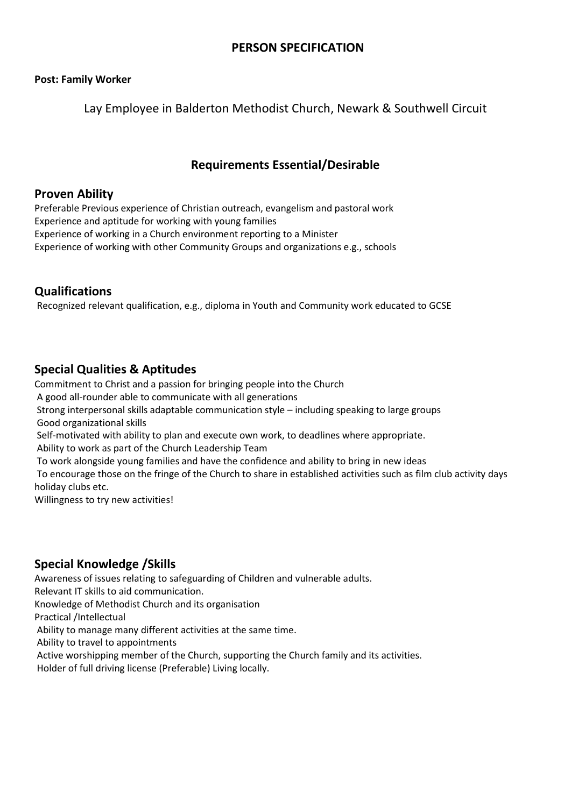# **PERSON SPECIFICATION**

#### **Post: Family Worker**

Lay Employee in Balderton Methodist Church, Newark & Southwell Circuit

# **Requirements Essential/Desirable**

#### **Proven Ability**

Preferable Previous experience of Christian outreach, evangelism and pastoral work Experience and aptitude for working with young families Experience of working in a Church environment reporting to a Minister Experience of working with other Community Groups and organizations e.g., schools

#### **Qualifications**

Recognized relevant qualification, e.g., diploma in Youth and Community work educated to GCSE

### **Special Qualities & Aptitudes**

Commitment to Christ and a passion for bringing people into the Church A good all-rounder able to communicate with all generations Strong interpersonal skills adaptable communication style – including speaking to large groups Good organizational skills Self-motivated with ability to plan and execute own work, to deadlines where appropriate. Ability to work as part of the Church Leadership Team To work alongside young families and have the confidence and ability to bring in new ideas

To encourage those on the fringe of the Church to share in established activities such as film club activity days holiday clubs etc.

Willingness to try new activities!

# **Special Knowledge /Skills**

Awareness of issues relating to safeguarding of Children and vulnerable adults.

Relevant IT skills to aid communication.

Knowledge of Methodist Church and its organisation

Practical /Intellectual

Ability to manage many different activities at the same time.

Ability to travel to appointments

Active worshipping member of the Church, supporting the Church family and its activities.

Holder of full driving license (Preferable) Living locally.